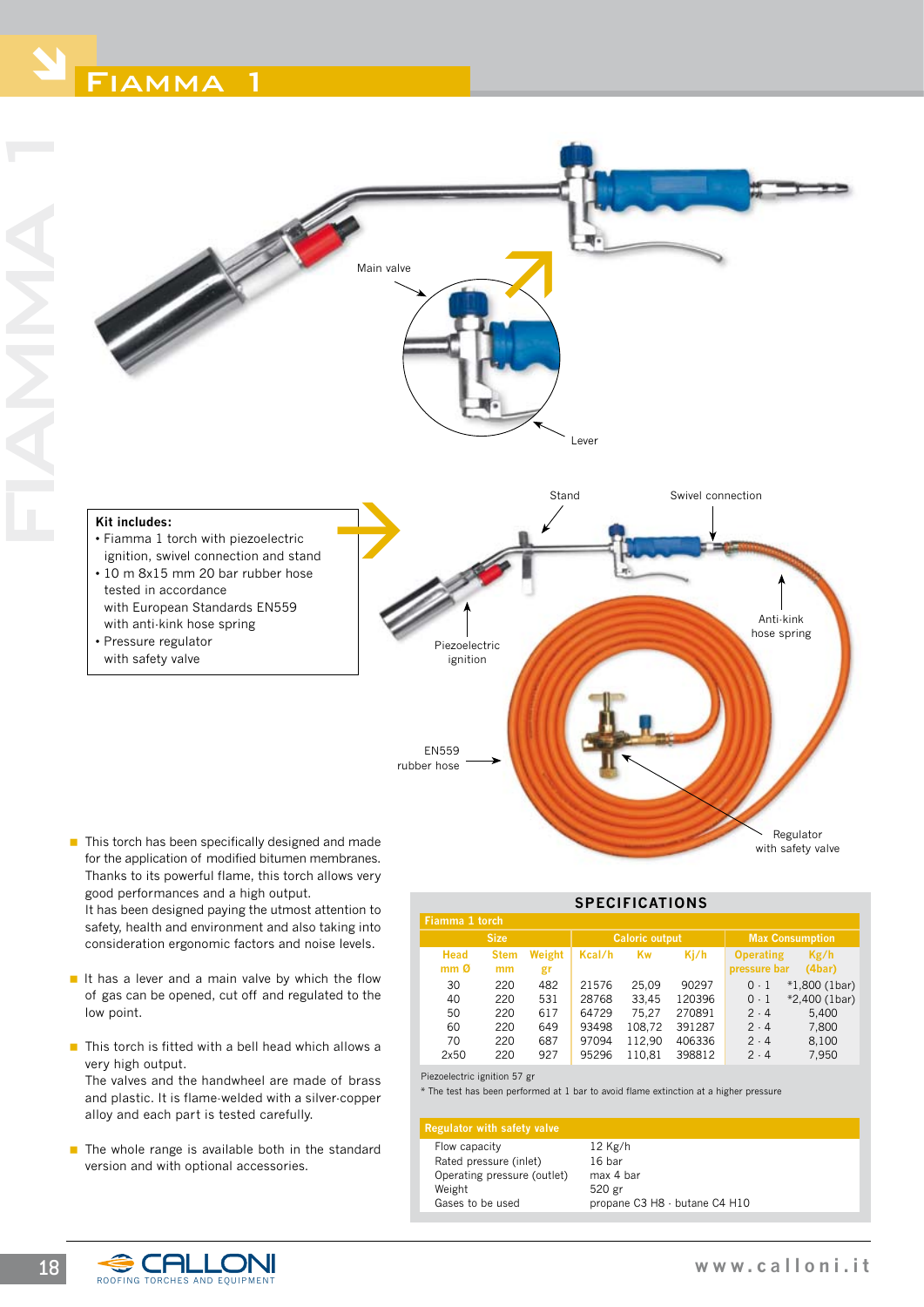



- This torch has been specifically designed and made for the application of modified bitumen membranes. Thanks to its powerful flame, this torch allows very good performances and a high output. It has been designed paying the utmost attention to safety, health and environment and also taking into
- $\blacksquare$  It has a lever and a main valve by which the flow of gas can be opened, cut off and regulated to the low point.

consideration ergonomic factors and noise levels.

- $\blacksquare$  This torch is fitted with a bell head which allows a very high output. The valves and the handwheel are made of brass and plastic. It is flame-welded with a silver-copper alloy and each part is tested carefully.
- $\blacksquare$  The whole range is available both in the standard version and with optional accessories.

| <b>SPECIFICATIONS</b>          |                   |              |                       |        |        |                                  |                |
|--------------------------------|-------------------|--------------|-----------------------|--------|--------|----------------------------------|----------------|
| Fiamma 1 torch                 |                   |              |                       |        |        |                                  |                |
| <b>Size</b>                    |                   |              | <b>Caloric output</b> |        |        | <b>Max Consumption</b>           |                |
| <b>Head</b><br>mm <sub>0</sub> | <b>Stem</b><br>mm | Weight<br>gr | Kcal/h                | Kw     | Ki/h   | <b>Operating</b><br>pressure bar | Kg/h<br>(4bar) |
| 30                             | 220               | 482          | 21576                 | 25.09  | 90297  | $0-1$                            | $*1,800(1bar)$ |
| 40                             | 220               | 531          | 28768                 | 33.45  | 120396 | $0-1$                            | *2,400 (1bar)  |
| 50                             | 220               | 617          | 64729                 | 75.27  | 270891 | $2 \cdot 4$                      | 5,400          |
| 60                             | 220               | 649          | 93498                 | 108,72 | 391287 | 2.4                              | 7,800          |
| 70                             | 220               | 687          | 97094                 | 112.90 | 406336 | 2.4                              | 8,100          |
| 2x50                           | 220               | 927          | 95296                 | 110.81 | 398812 | $2 \cdot 4$                      | 7,950          |

Piezoelectric ignition 57 gr

\* The test has been performed at 1 bar to avoid flame extinction at a higher pressure

#### **Regulator with safety valve**

Flow capacity 12 Kg/h Rated pressure (inlet) 16 bar Operating pressure (outlet) max 4 bar Weight 520 gr<br>Gases to be used propan

propane C3 H8 - butane C4 H10

roofing torches and equipment